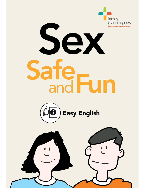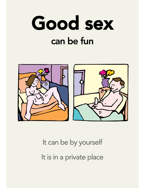



# It can be by yourself It is in a private place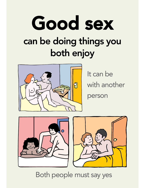



It can be with another person





Both people must say yes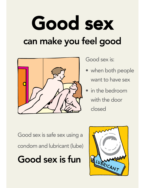# Good sex can make you feel good



Good sex is:

- when both people want to have sex
- in the bedroom with the door closed

Good sex is safe sex using a condom and lubricant (lube)

# Good sex is fun

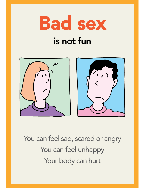

# is not fun



You can feel sad, scared or angry You can feel unhappy Your body can hurt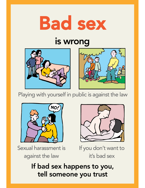

## is wrong





Playing with yourself in public is against the law





Sexual harassment is against the law

If you don't want to it's bad sex

#### If bad sex happens to you, tell someone you trust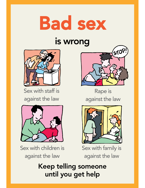

### is wrong



Sex with staff is against the law



Sex with children is against the law



Rape is against the law



Sex with family is against the law

#### Keep telling someone until you get help